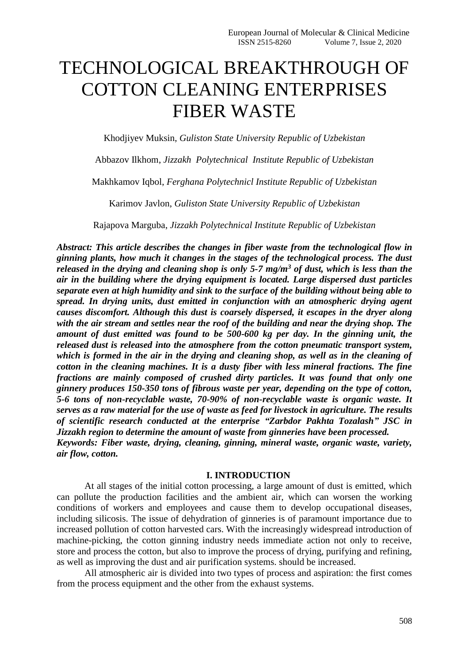# TECHNOLOGICAL BREAKTHROUGH OF COTTON CLEANING ENTERPRISES FIBER WASTE

Khodjiyev Muksin, *Guliston State University Republic of Uzbekistan*

Abbazov Ilkhom, *Jizzakh Polytechnical Institute Republic of Uzbekistan*

Makhkamov Iqbol, *Ferghana Polytechnicl Institute Republic of Uzbekistan*

Karimov Javlon, *Guliston State University Republic of Uzbekistan*

Rajapova Marguba, *Jizzakh Polytechnical Institute Republic of Uzbekistan*

*Abstract: This article describes the changes in fiber waste from the technological flow in ginning plants, how much it changes in the stages of the technological process. The dust released in the drying and cleaning shop is only 5-7 mg/m<sup>3</sup> of dust, which is less than the air in the building where the drying equipment is located. Large dispersed dust particles separate even at high humidity and sink to the surface of the building without being able to spread. In drying units, dust emitted in conjunction with an atmospheric drying agent causes discomfort. Although this dust is coarsely dispersed, it escapes in the dryer along with the air stream and settles near the roof of the building and near the drying shop. The amount of dust emitted was found to be 500-600 kg per day. In the ginning unit, the released dust is released into the atmosphere from the cotton pneumatic transport system, which is formed in the air in the drying and cleaning shop, as well as in the cleaning of cotton in the cleaning machines. It is a dusty fiber with less mineral fractions. The fine fractions are mainly composed of crushed dirty particles. It was found that only one ginnery produces 150-350 tons of fibrous waste per year, depending on the type of cotton, 5-6 tons of non-recyclable waste, 70-90% of non-recyclable waste is organic waste. It serves as a raw material for the use of waste as feed for livestock in agriculture. The results of scientific research conducted at the enterprise "Zarbdor Pakhta Tozalash" JSC in Jizzakh region to determine the amount of waste from ginneries have been processed. Keywords: Fiber waste, drying, cleaning, ginning, mineral waste, organic waste, variety, air flow, cotton.*

#### **I. INTRODUCTION**

At all stages of the initial cotton processing, a large amount of dust is emitted, which can pollute the production facilities and the ambient air, which can worsen the working conditions of workers and employees and cause them to develop occupational diseases, including silicosis. The issue of dehydration of ginneries is of paramount importance due to increased pollution of cotton harvested cars. With the increasingly widespread introduction of machine-picking, the cotton ginning industry needs immediate action not only to receive, store and process the cotton, but also to improve the process of drying, purifying and refining, as well as improving the dust and air purification systems. should be increased.

All atmospheric air is divided into two types of process and aspiration: the first comes from the process equipment and the other from the exhaust systems.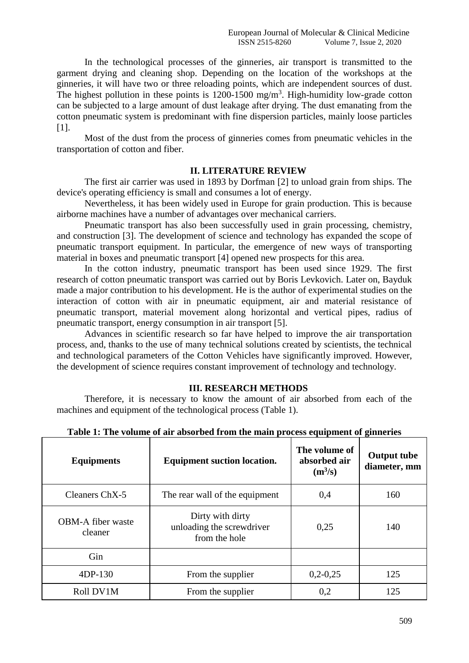In the technological processes of the ginneries, air transport is transmitted to the garment drying and cleaning shop. Depending on the location of the workshops at the ginneries, it will have two or three reloading points, which are independent sources of dust. The highest pollution in these points is  $1200 - 1500$  mg/m<sup>3</sup>. High-humidity low-grade cotton can be subjected to a large amount of dust leakage after drying. The dust emanating from the cotton pneumatic system is predominant with fine dispersion particles, mainly loose particles [1].

Most of the dust from the process of ginneries comes from pneumatic vehicles in the transportation of cotton and fiber.

# **II. LITERATURE REVIEW**

The first air carrier was used in 1893 by Dorfman [2] to unload grain from ships. The device's operating efficiency is small and consumes a lot of energy.

Nevertheless, it has been widely used in Europe for grain production. This is because airborne machines have a number of advantages over mechanical carriers.

Pneumatic transport has also been successfully used in grain processing, chemistry, and construction [3]. The development of science and technology has expanded the scope of pneumatic transport equipment. In particular, the emergence of new ways of transporting material in boxes and pneumatic transport [4] opened new prospects for this area.

In the cotton industry, pneumatic transport has been used since 1929. The first research of cotton pneumatic transport was carried out by Boris Levkovich. Later on, Bayduk made a major contribution to his development. He is the author of experimental studies on the interaction of cotton with air in pneumatic equipment, air and material resistance of pneumatic transport, material movement along horizontal and vertical pipes, radius of pneumatic transport, energy consumption in air transport [5].

Advances in scientific research so far have helped to improve the air transportation process, and, thanks to the use of many technical solutions created by scientists, the technical and technological parameters of the Cotton Vehicles have significantly improved. However, the development of science requires constant improvement of technology and technology.

### **III. RESEARCH METHODS**

Therefore, it is necessary to know the amount of air absorbed from each of the machines and equipment of the technological process (Table 1).

| <b>Equipments</b>                   | <b>Equipment suction location.</b>                             | The volume of<br>absorbed air<br>$(m^3/s)$ | <b>Output tube</b><br>diameter, mm |
|-------------------------------------|----------------------------------------------------------------|--------------------------------------------|------------------------------------|
| Cleaners Ch <sub>X</sub> -5         | The rear wall of the equipment                                 | 0,4                                        | 160                                |
| <b>OBM-A</b> fiber waste<br>cleaner | Dirty with dirty<br>unloading the screwdriver<br>from the hole | 0,25                                       | 140                                |
| Gin                                 |                                                                |                                            |                                    |
| 4DP-130                             | From the supplier                                              | $0,2-0,25$                                 | 125                                |
| Roll DV1M                           | From the supplier                                              | 0,2                                        | 125                                |

**Table 1: The volume of air absorbed from the main process equipment of ginneries**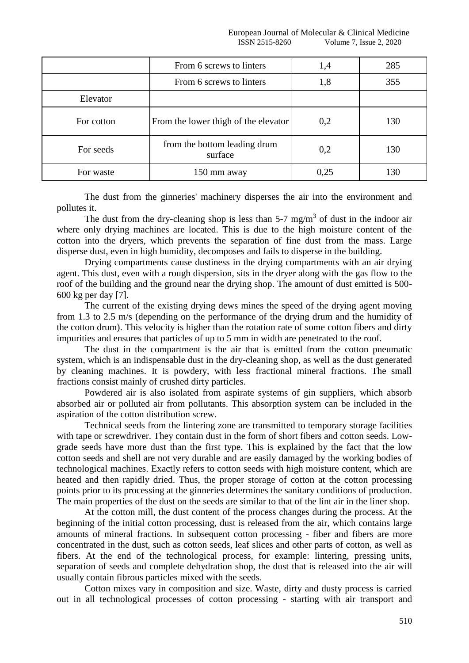|            | From 6 screws to linters                | 1,4  | 285 |
|------------|-----------------------------------------|------|-----|
|            | From 6 screws to linters                | 1,8  | 355 |
| Elevator   |                                         |      |     |
| For cotton | From the lower thigh of the elevator    | 0,2  | 130 |
| For seeds  | from the bottom leading drum<br>surface | 0,2  | 130 |
| For waste  | 150 mm away                             | 0,25 | 130 |

The dust from the ginneries' machinery disperses the air into the environment and pollutes it.

The dust from the dry-cleaning shop is less than  $5-7 \text{ mg/m}^3$  of dust in the indoor air where only drying machines are located. This is due to the high moisture content of the cotton into the dryers, which prevents the separation of fine dust from the mass. Large disperse dust, even in high humidity, decomposes and fails to disperse in the building.

Drying compartments cause dustiness in the drying compartments with an air drying agent. This dust, even with a rough dispersion, sits in the dryer along with the gas flow to the roof of the building and the ground near the drying shop. The amount of dust emitted is 500- 600 kg per day [7].

The current of the existing drying dews mines the speed of the drying agent moving from 1.3 to 2.5 m/s (depending on the performance of the drying drum and the humidity of the cotton drum). This velocity is higher than the rotation rate of some cotton fibers and dirty impurities and ensures that particles of up to 5 mm in width are penetrated to the roof.

The dust in the compartment is the air that is emitted from the cotton pneumatic system, which is an indispensable dust in the dry-cleaning shop, as well as the dust generated by cleaning machines. It is powdery, with less fractional mineral fractions. The small fractions consist mainly of crushed dirty particles.

Powdered air is also isolated from aspirate systems of gin suppliers, which absorb absorbed air or polluted air from pollutants. This absorption system can be included in the aspiration of the cotton distribution screw.

Technical seeds from the lintering zone are transmitted to temporary storage facilities with tape or screwdriver. They contain dust in the form of short fibers and cotton seeds. Lowgrade seeds have more dust than the first type. This is explained by the fact that the low cotton seeds and shell are not very durable and are easily damaged by the working bodies of technological machines. Exactly refers to cotton seeds with high moisture content, which are heated and then rapidly dried. Thus, the proper storage of cotton at the cotton processing points prior to its processing at the ginneries determines the sanitary conditions of production. The main properties of the dust on the seeds are similar to that of the lint air in the liner shop.

At the cotton mill, the dust content of the process changes during the process. At the beginning of the initial cotton processing, dust is released from the air, which contains large amounts of mineral fractions. In subsequent cotton processing - fiber and fibers are more concentrated in the dust, such as cotton seeds, leaf slices and other parts of cotton, as well as fibers. At the end of the technological process, for example: lintering, pressing units, separation of seeds and complete dehydration shop, the dust that is released into the air will usually contain fibrous particles mixed with the seeds.

Cotton mixes vary in composition and size. Waste, dirty and dusty process is carried out in all technological processes of cotton processing - starting with air transport and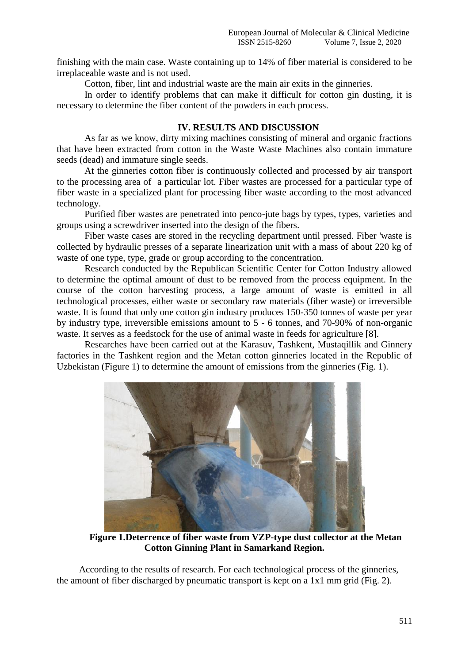finishing with the main case. Waste containing up to 14% of fiber material is considered to be irreplaceable waste and is not used.

Cotton, fiber, lint and industrial waste are the main air exits in the ginneries.

In order to identify problems that can make it difficult for cotton gin dusting, it is necessary to determine the fiber content of the powders in each process.

## **IV. RESULTS AND DISCUSSION**

As far as we know, dirty mixing machines consisting of mineral and organic fractions that have been extracted from cotton in the Waste Waste Machines also contain immature seeds (dead) and immature single seeds.

At the ginneries cotton fiber is continuously collected and processed by air transport to the processing area of a particular lot. Fiber wastes are processed for a particular type of fiber waste in a specialized plant for processing fiber waste according to the most advanced technology.

Purified fiber wastes are penetrated into penco-jute bags by types, types, varieties and groups using a screwdriver inserted into the design of the fibers.

Fiber waste cases are stored in the recycling department until pressed. Fiber 'waste is collected by hydraulic presses of a separate linearization unit with a mass of about 220 kg of waste of one type, type, grade or group according to the concentration.

Research conducted by the Republican Scientific Center for Cotton Industry allowed to determine the optimal amount of dust to be removed from the process equipment. In the course of the cotton harvesting process, a large amount of waste is emitted in all technological processes, either waste or secondary raw materials (fiber waste) or irreversible waste. It is found that only one cotton gin industry produces 150-350 tonnes of waste per year by industry type, irreversible emissions amount to 5 - 6 tonnes, and 70-90% of non-organic waste. It serves as a feedstock for the use of animal waste in feeds for agriculture [8].

Researches have been carried out at the Karasuv, Tashkent, Mustaqillik and Ginnery factories in the Tashkent region and the Metan cotton ginneries located in the Republic of Uzbekistan (Figure 1) to determine the amount of emissions from the ginneries (Fig. 1).



**Figure 1.Deterrence of fiber waste from VZP-type dust collector at the Metan Cotton Ginning Plant in Samarkand Region.**

According to the results of research. For each technological process of the ginneries, the amount of fiber discharged by pneumatic transport is kept on a 1x1 mm grid (Fig. 2).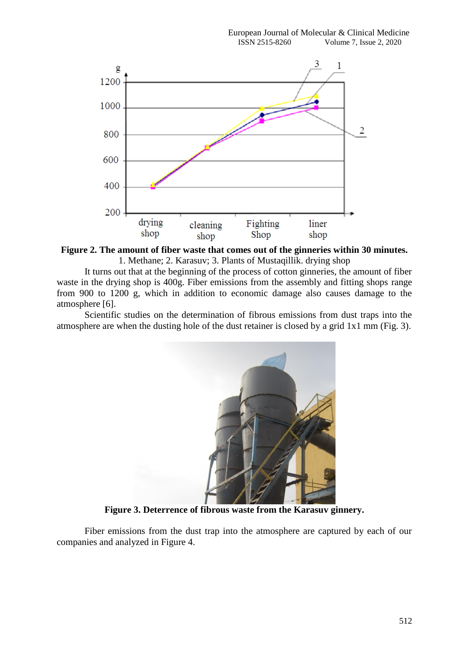

**Figure 2. The amount of fiber waste that comes out of the ginneries within 30 minutes.** 1. Methane; 2. Karasuv; 3. Plants of Mustaqillik. drying shop

It turns out that at the beginning of the process of cotton ginneries, the amount of fiber waste in the drying shop is 400g. Fiber emissions from the assembly and fitting shops range from 900 to 1200 g, which in addition to economic damage also causes damage to the atmosphere [6].

Scientific studies on the determination of fibrous emissions from dust traps into the atmosphere are when the dusting hole of the dust retainer is closed by a grid 1x1 mm (Fig. 3).



**Figure 3. Deterrence of fibrous waste from the Karasuv ginnery.**

Fiber emissions from the dust trap into the atmosphere are captured by each of our companies and analyzed in Figure 4.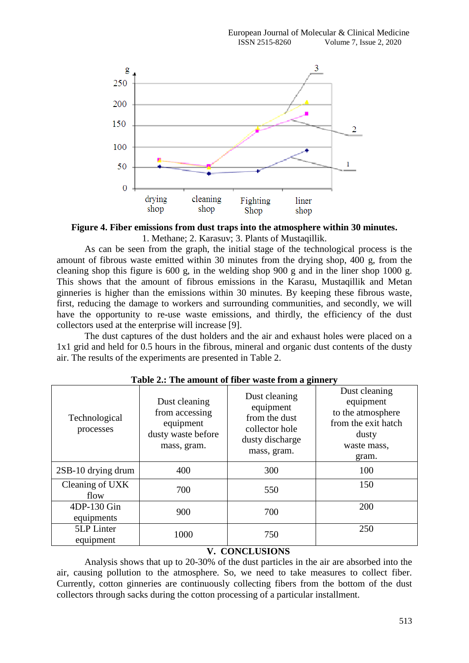

**Figure 4. Fiber emissions from dust traps into the atmosphere within 30 minutes.** 1. Methane; 2. Karasuv; 3. Plants of Mustaqillik.

As can be seen from the graph, the initial stage of the technological process is the amount of fibrous waste emitted within 30 minutes from the drying shop, 400 g, from the cleaning shop this figure is 600 g, in the welding shop 900 g and in the liner shop 1000 g. This shows that the amount of fibrous emissions in the Karasu, Mustaqillik and Metan ginneries is higher than the emissions within 30 minutes. By keeping these fibrous waste, first, reducing the damage to workers and surrounding communities, and secondly, we will have the opportunity to re-use waste emissions, and thirdly, the efficiency of the dust collectors used at the enterprise will increase [9].

The dust captures of the dust holders and the air and exhaust holes were placed on a 1x1 grid and held for 0.5 hours in the fibrous, mineral and organic dust contents of the dusty air. The results of the experiments are presented in Table 2.

| Technological<br>processes | Dust cleaning<br>from accessing<br>equipment<br>dusty waste before<br>mass, gram. | Dust cleaning<br>equipment<br>from the dust<br>collector hole<br>dusty discharge<br>mass, gram. | Dust cleaning<br>equipment<br>to the atmosphere<br>from the exit hatch<br>dusty<br>waste mass,<br>gram. |
|----------------------------|-----------------------------------------------------------------------------------|-------------------------------------------------------------------------------------------------|---------------------------------------------------------------------------------------------------------|
| 2SB-10 drying drum         | 400                                                                               | 300                                                                                             | 100                                                                                                     |
| Cleaning of UXK<br>flow    | 700                                                                               | 550                                                                                             | 150                                                                                                     |
| 4DP-130 Gin<br>equipments  | 900                                                                               | 700                                                                                             | 200                                                                                                     |
| 5LP Linter<br>equipment    | 1000                                                                              | 750                                                                                             | 250                                                                                                     |

**Table 2.: The amount of fiber waste from a ginnery**

# **V. CONCLUSIONS**

Analysis shows that up to 20-30% of the dust particles in the air are absorbed into the air, causing pollution to the atmosphere. So, we need to take measures to collect fiber. Currently, cotton ginneries are continuously collecting fibers from the bottom of the dust collectors through sacks during the cotton processing of a particular installment.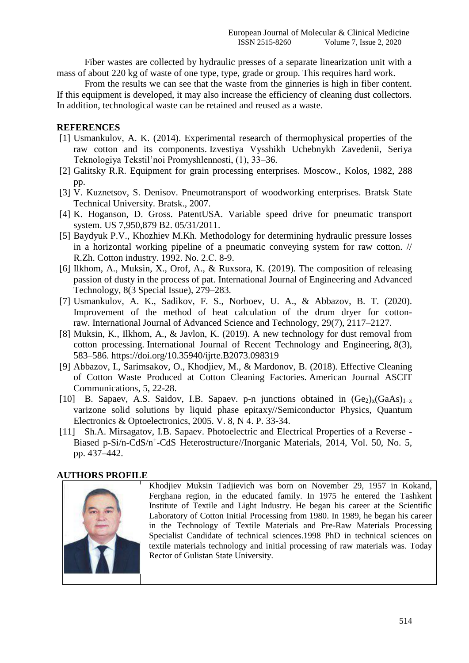Fiber wastes are collected by hydraulic presses of a separate linearization unit with a mass of about 220 kg of waste of one type, type, grade or group. This requires hard work.

From the results we can see that the waste from the ginneries is high in fiber content. If this equipment is developed, it may also increase the efficiency of cleaning dust collectors. In addition, technological waste can be retained and reused as a waste.

## **REFERENCES**

- [1] Usmankulov, A. K. (2014). Experimental research of thermophysical properties of the raw cotton and its components. Izvestiya Vysshikh Uchebnykh Zavedenii, Seriya Teknologiya Tekstil'noi Promyshlennosti, (1), 33–36.
- [2] Galitsky R.R. Equipment for grain processing enterprises. Moscow., Kolos, 1982, 288 pp.
- [3] V. Kuznetsov, S. Denisov. Pneumotransport of woodworking enterprises. Bratsk State Technical University. Bratsk., 2007.
- [4] K. Hoganson, D. Gross. PatentUSA. Variable speed drive for pneumatic transport system. US 7,950,879 B2. 05/31/2011.
- [5] Baydyuk P.V., Khozhiev M.Kh. Methodology for determining hydraulic pressure losses in a horizontal working pipeline of a pneumatic conveying system for raw cotton. // R.Zh. Cotton industry. 1992. No. 2.С. 8-9.
- [6] Ilkhom, A., Muksin, X., Orof, A., & Ruxsora, K. (2019). The composition of releasing passion of dusty in the process of pat. International Journal of Engineering and Advanced Technology, 8(3 Special Issue), 279–283.
- [7] Usmankulov, A. K., Sadikov, F. S., Norboev, U. A., & Abbazov, B. T. (2020). Improvement of the method of heat calculation of the drum dryer for cottonraw. International Journal of Advanced Science and Technology, 29(7), 2117–2127.
- [8] Muksin, K., Ilkhom, A., & Javlon, K. (2019). A new technology for dust removal from cotton processing. International Journal of Recent Technology and Engineering, 8(3), 583–586. https://doi.org/10.35940/ijrte.B2073.098319
- [9] Abbazov, I., Sarimsakov, O., Khodjiev, M., & Mardonov, B. (2018). Effective Cleaning of Cotton Waste Produced at Cotton Cleaning Factories. American Journal ASCIT Communications, 5, 22-28.
- [10] B. Sapaev, A.S. Saidov, I.B. Sapaev. p-n junctions obtained in  $(Ge_2)_x(GaAs)_{1-x}$ varizone solid solutions by liquid phase epitaxy//Semiconductor Physics, Quantum Electronics & Optoelectronics, 2005. V. 8, N 4. P. 33-34.
- [11] Sh.A. Mirsagatov, I.B. Sapaev. Photoelectric and Electrical Properties of a Reverse -Biased p-Si/n-CdS/n<sup>+</sup>-CdS Heterostructure//Inorganic Materials, 2014, Vol. 50, No. 5, pp. 437–442.

### **AUTHORS PROFILE**



Khodjiev Muksin Tadjievich was born on November 29, 1957 in Kokand, Ferghana region, in the educated family. In 1975 he entered the Tashkent Institute of Textile and Light Industry. He began his career at the Scientific Laboratory of Cotton Initial Processing from 1980. In 1989, he began his career in the Technology of Textile Materials and Pre-Raw Materials Processing Specialist Candidate of technical sciences.1998 PhD in technical sciences on textile materials technology and initial processing of raw materials was. Today Rector of Gulistan State University.